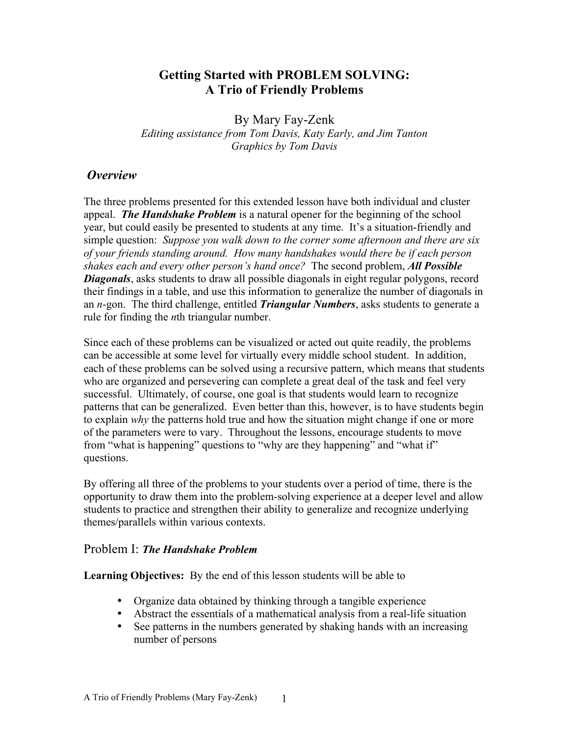#### **Getting Started with PROBLEM SOLVING: A Trio of Friendly Problems**

By Mary Fay-Zenk *Editing assistance from Tom Davis, Katy Early, and Jim Tanton Graphics by Tom Davis*

#### *Overview*

The three problems presented for this extended lesson have both individual and cluster appeal. *The Handshake Problem* is a natural opener for the beginning of the school year, but could easily be presented to students at any time. It's a situation-friendly and simple question: *Suppose you walk down to the corner some afternoon and there are six of your friends standing around. How many handshakes would there be if each person shakes each and every other person's hand once?* The second problem, *All Possible Diagonals*, asks students to draw all possible diagonals in eight regular polygons, record their findings in a table, and use this information to generalize the number of diagonals in an *n*-gon. The third challenge, entitled *Triangular Numbers*, asks students to generate a rule for finding the *n*th triangular number.

Since each of these problems can be visualized or acted out quite readily, the problems can be accessible at some level for virtually every middle school student. In addition, each of these problems can be solved using a recursive pattern, which means that students who are organized and persevering can complete a great deal of the task and feel very successful. Ultimately, of course, one goal is that students would learn to recognize patterns that can be generalized. Even better than this, however, is to have students begin to explain *why* the patterns hold true and how the situation might change if one or more of the parameters were to vary. Throughout the lessons, encourage students to move from "what is happening" questions to "why are they happening" and "what if" questions.

By offering all three of the problems to your students over a period of time, there is the opportunity to draw them into the problem-solving experience at a deeper level and allow students to practice and strengthen their ability to generalize and recognize underlying themes/parallels within various contexts.

#### Problem I: *The Handshake Problem*

**Learning Objectives:** By the end of this lesson students will be able to

- Organize data obtained by thinking through a tangible experience
- Abstract the essentials of a mathematical analysis from a real-life situation
- See patterns in the numbers generated by shaking hands with an increasing number of persons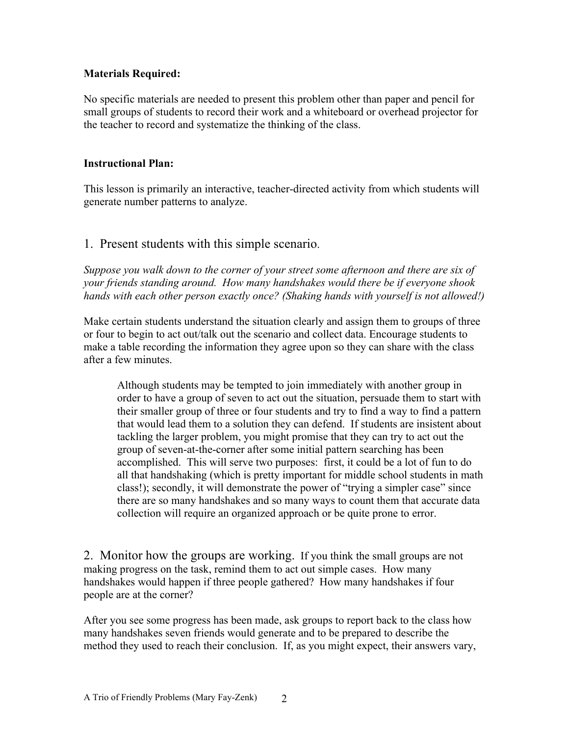#### **Materials Required:**

No specific materials are needed to present this problem other than paper and pencil for small groups of students to record their work and a whiteboard or overhead projector for the teacher to record and systematize the thinking of the class.

#### **Instructional Plan:**

This lesson is primarily an interactive, teacher-directed activity from which students will generate number patterns to analyze.

#### 1. Present students with this simple scenario.

*Suppose you walk down to the corner of your street some afternoon and there are six of your friends standing around. How many handshakes would there be if everyone shook hands with each other person exactly once? (Shaking hands with yourself is not allowed!)*

Make certain students understand the situation clearly and assign them to groups of three or four to begin to act out/talk out the scenario and collect data. Encourage students to make a table recording the information they agree upon so they can share with the class after a few minutes.

Although students may be tempted to join immediately with another group in order to have a group of seven to act out the situation, persuade them to start with their smaller group of three or four students and try to find a way to find a pattern that would lead them to a solution they can defend. If students are insistent about tackling the larger problem, you might promise that they can try to act out the group of seven-at-the-corner after some initial pattern searching has been accomplished. This will serve two purposes: first, it could be a lot of fun to do all that handshaking (which is pretty important for middle school students in math class!); secondly, it will demonstrate the power of "trying a simpler case" since there are so many handshakes and so many ways to count them that accurate data collection will require an organized approach or be quite prone to error.

2. Monitor how the groups are working. If you think the small groups are not making progress on the task, remind them to act out simple cases. How many handshakes would happen if three people gathered? How many handshakes if four people are at the corner?

After you see some progress has been made, ask groups to report back to the class how many handshakes seven friends would generate and to be prepared to describe the method they used to reach their conclusion. If, as you might expect, their answers vary,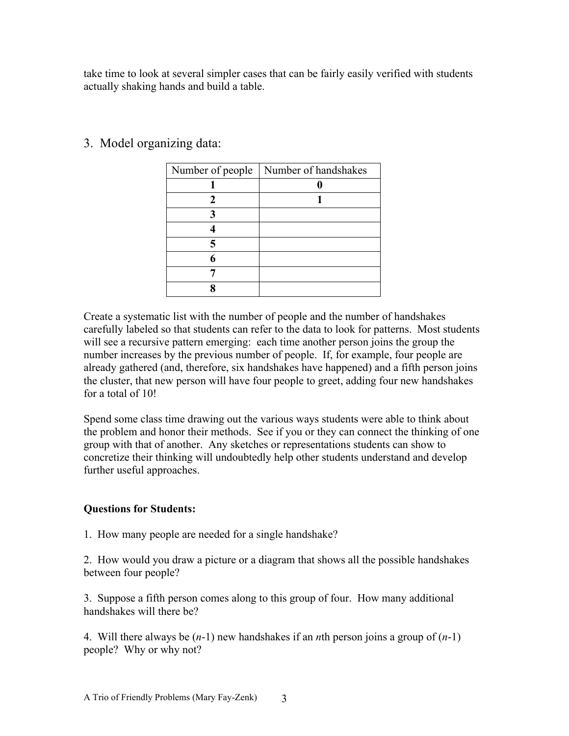take time to look at several simpler cases that can be fairly easily verified with students actually shaking hands and build a table.

| Number of people | Number of handshakes |
|------------------|----------------------|
|                  |                      |
| 2                |                      |
|                  |                      |
|                  |                      |
|                  |                      |
|                  |                      |
|                  |                      |
|                  |                      |

3. Model organizing data:

Create a systematic list with the number of people and the number of handshakes carefully labeled so that students can refer to the data to look for patterns. Most students will see a recursive pattern emerging: each time another person joins the group the number increases by the previous number of people. If, for example, four people are already gathered (and, therefore, six handshakes have happened) and a fifth person joins the cluster, that new person will have four people to greet, adding four new handshakes for a total of 10!

Spend some class time drawing out the various ways students were able to think about the problem and honor their methods. See if you or they can connect the thinking of one group with that of another. Any sketches or representations students can show to concretize their thinking will undoubtedly help other students understand and develop further useful approaches.

#### **Questions for Students:**

1. How many people are needed for a single handshake?

2. How would you draw a picture or a diagram that shows all the possible handshakes between four people?

3. Suppose a fifth person comes along to this group of four. How many additional handshakes will there be?

4. Will there always be (*n*-1) new handshakes if an *n*th person joins a group of (*n*-1) people? Why or why not?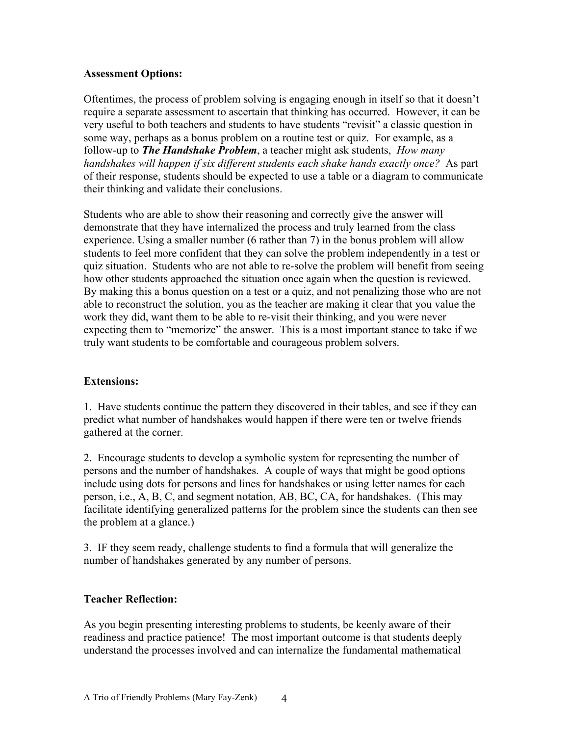#### **Assessment Options:**

Oftentimes, the process of problem solving is engaging enough in itself so that it doesn't require a separate assessment to ascertain that thinking has occurred. However, it can be very useful to both teachers and students to have students "revisit" a classic question in some way, perhaps as a bonus problem on a routine test or quiz. For example, as a follow-up to *The Handshake Problem*, a teacher might ask students, *How many handshakes will happen if six different students each shake hands exactly once?* As part of their response, students should be expected to use a table or a diagram to communicate their thinking and validate their conclusions.

Students who are able to show their reasoning and correctly give the answer will demonstrate that they have internalized the process and truly learned from the class experience. Using a smaller number (6 rather than 7) in the bonus problem will allow students to feel more confident that they can solve the problem independently in a test or quiz situation. Students who are not able to re-solve the problem will benefit from seeing how other students approached the situation once again when the question is reviewed. By making this a bonus question on a test or a quiz, and not penalizing those who are not able to reconstruct the solution, you as the teacher are making it clear that you value the work they did, want them to be able to re-visit their thinking, and you were never expecting them to "memorize" the answer. This is a most important stance to take if we truly want students to be comfortable and courageous problem solvers.

#### **Extensions:**

1. Have students continue the pattern they discovered in their tables, and see if they can predict what number of handshakes would happen if there were ten or twelve friends gathered at the corner.

2. Encourage students to develop a symbolic system for representing the number of persons and the number of handshakes. A couple of ways that might be good options include using dots for persons and lines for handshakes or using letter names for each person, i.e., A, B, C, and segment notation, AB, BC, CA, for handshakes. (This may facilitate identifying generalized patterns for the problem since the students can then see the problem at a glance.)

3. IF they seem ready, challenge students to find a formula that will generalize the number of handshakes generated by any number of persons.

#### **Teacher Reflection:**

As you begin presenting interesting problems to students, be keenly aware of their readiness and practice patience! The most important outcome is that students deeply understand the processes involved and can internalize the fundamental mathematical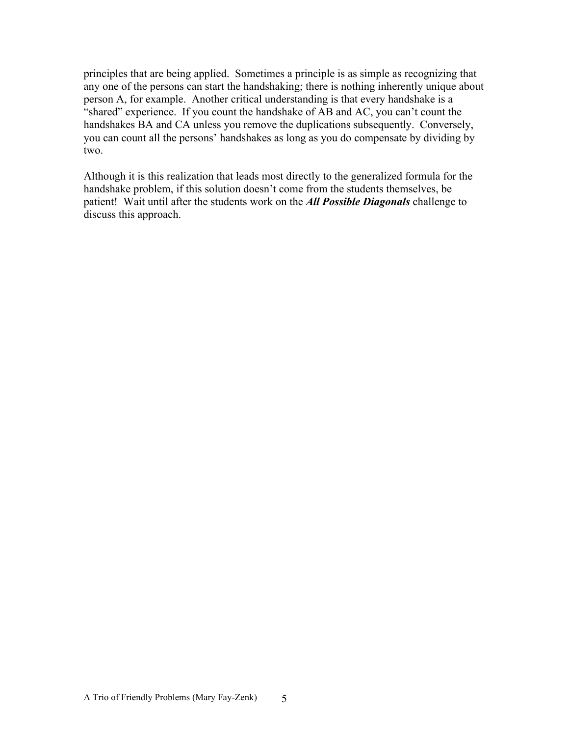principles that are being applied. Sometimes a principle is as simple as recognizing that any one of the persons can start the handshaking; there is nothing inherently unique about person A, for example. Another critical understanding is that every handshake is a "shared" experience. If you count the handshake of AB and AC, you can't count the handshakes BA and CA unless you remove the duplications subsequently. Conversely, you can count all the persons' handshakes as long as you do compensate by dividing by two.

Although it is this realization that leads most directly to the generalized formula for the handshake problem, if this solution doesn't come from the students themselves, be patient! Wait until after the students work on the *All Possible Diagonals* challenge to discuss this approach.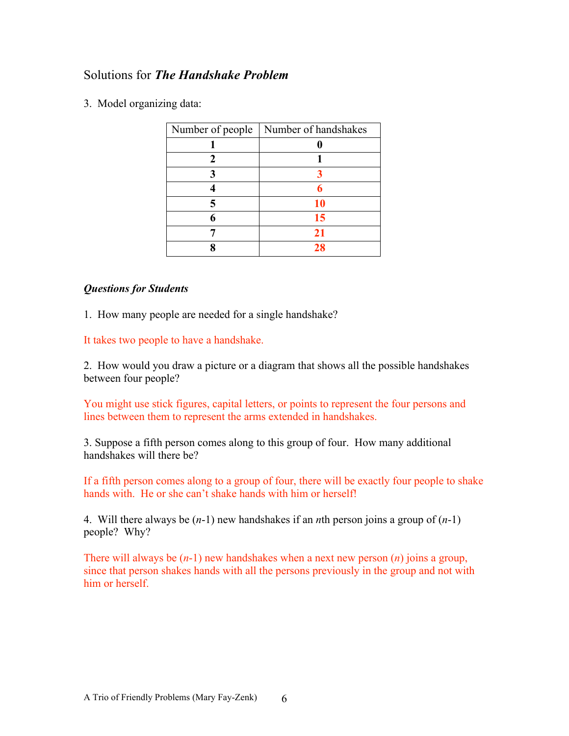#### Solutions for *The Handshake Problem*

3. Model organizing data:

| Number of people   Number of handshakes |
|-----------------------------------------|
|                                         |
|                                         |
|                                         |
|                                         |
| 10                                      |
| 15                                      |
| 21                                      |
| 28                                      |

#### *Questions for Students*

1. How many people are needed for a single handshake?

It takes two people to have a handshake.

2. How would you draw a picture or a diagram that shows all the possible handshakes between four people?

You might use stick figures, capital letters, or points to represent the four persons and lines between them to represent the arms extended in handshakes.

3. Suppose a fifth person comes along to this group of four. How many additional handshakes will there be?

If a fifth person comes along to a group of four, there will be exactly four people to shake hands with. He or she can't shake hands with him or herself!

4. Will there always be (*n*-1) new handshakes if an *n*th person joins a group of (*n*-1) people? Why?

There will always be (*n*-1) new handshakes when a next new person (*n*) joins a group, since that person shakes hands with all the persons previously in the group and not with him or herself.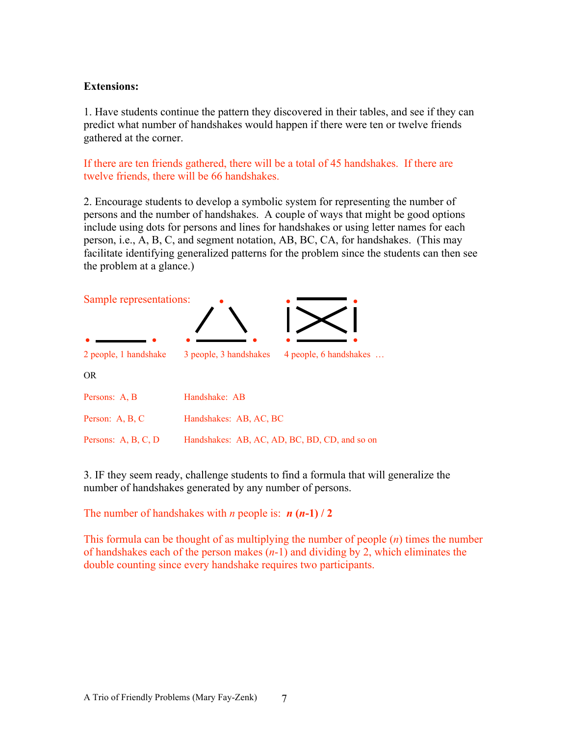#### **Extensions:**

1. Have students continue the pattern they discovered in their tables, and see if they can predict what number of handshakes would happen if there were ten or twelve friends gathered at the corner.

If there are ten friends gathered, there will be a total of 45 handshakes. If there are twelve friends, there will be 66 handshakes.

2. Encourage students to develop a symbolic system for representing the number of persons and the number of handshakes. A couple of ways that might be good options include using dots for persons and lines for handshakes or using letter names for each person, i.e., A, B, C, and segment notation, AB, BC, CA, for handshakes. (This may facilitate identifying generalized patterns for the problem since the students can then see the problem at a glance.)



3. IF they seem ready, challenge students to find a formula that will generalize the number of handshakes generated by any number of persons.

The number of handshakes with *n* people is:  $n(n-1)/2$ 

This formula can be thought of as multiplying the number of people (*n*) times the number of handshakes each of the person makes (*n*-1) and dividing by 2, which eliminates the double counting since every handshake requires two participants.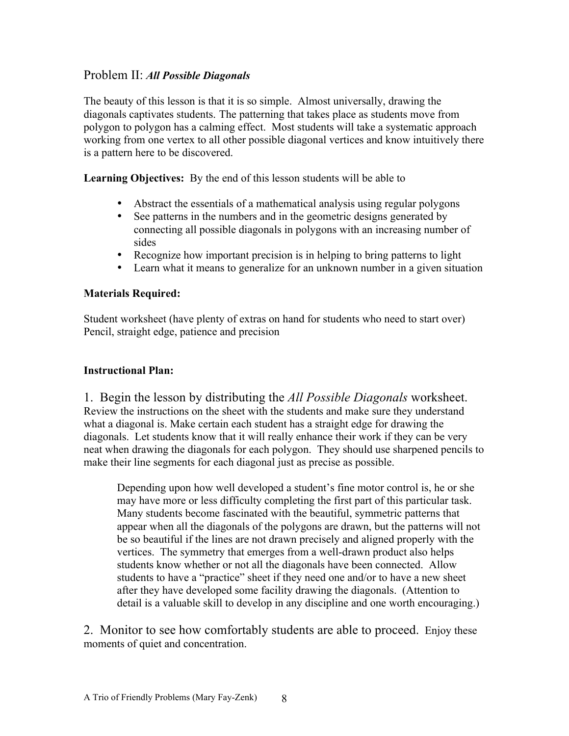#### Problem II: *All Possible Diagonals*

The beauty of this lesson is that it is so simple. Almost universally, drawing the diagonals captivates students. The patterning that takes place as students move from polygon to polygon has a calming effect. Most students will take a systematic approach working from one vertex to all other possible diagonal vertices and know intuitively there is a pattern here to be discovered.

**Learning Objectives:** By the end of this lesson students will be able to

- Abstract the essentials of a mathematical analysis using regular polygons
- See patterns in the numbers and in the geometric designs generated by connecting all possible diagonals in polygons with an increasing number of sides
- Recognize how important precision is in helping to bring patterns to light
- Learn what it means to generalize for an unknown number in a given situation

#### **Materials Required:**

Student worksheet (have plenty of extras on hand for students who need to start over) Pencil, straight edge, patience and precision

#### **Instructional Plan:**

1. Begin the lesson by distributing the *All Possible Diagonals* worksheet. Review the instructions on the sheet with the students and make sure they understand what a diagonal is. Make certain each student has a straight edge for drawing the diagonals. Let students know that it will really enhance their work if they can be very neat when drawing the diagonals for each polygon. They should use sharpened pencils to make their line segments for each diagonal just as precise as possible.

Depending upon how well developed a student's fine motor control is, he or she may have more or less difficulty completing the first part of this particular task. Many students become fascinated with the beautiful, symmetric patterns that appear when all the diagonals of the polygons are drawn, but the patterns will not be so beautiful if the lines are not drawn precisely and aligned properly with the vertices. The symmetry that emerges from a well-drawn product also helps students know whether or not all the diagonals have been connected. Allow students to have a "practice" sheet if they need one and/or to have a new sheet after they have developed some facility drawing the diagonals. (Attention to detail is a valuable skill to develop in any discipline and one worth encouraging.)

2. Monitor to see how comfortably students are able to proceed. Enjoy these moments of quiet and concentration.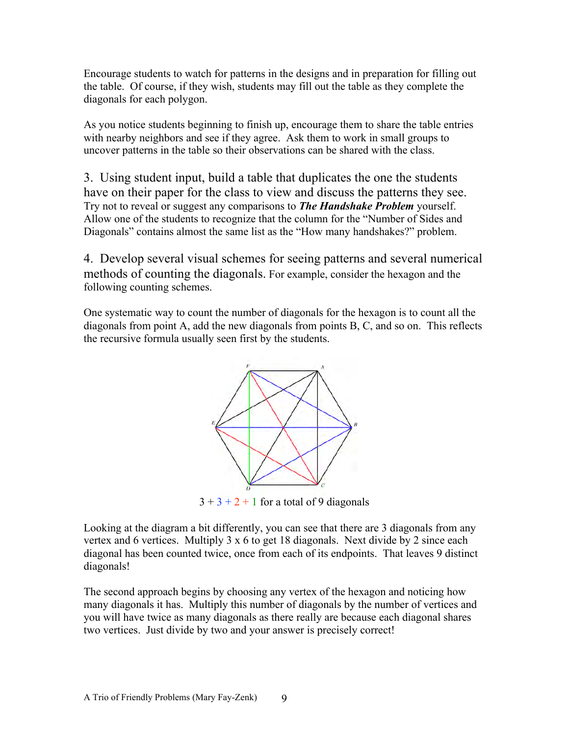Encourage students to watch for patterns in the designs and in preparation for filling out the table. Of course, if they wish, students may fill out the table as they complete the diagonals for each polygon.

As you notice students beginning to finish up, encourage them to share the table entries with nearby neighbors and see if they agree. Ask them to work in small groups to uncover patterns in the table so their observations can be shared with the class.

3. Using student input, build a table that duplicates the one the students have on their paper for the class to view and discuss the patterns they see. Try not to reveal or suggest any comparisons to *The Handshake Problem* yourself. Allow one of the students to recognize that the column for the "Number of Sides and Diagonals" contains almost the same list as the "How many handshakes?" problem.

4. Develop several visual schemes for seeing patterns and several numerical methods of counting the diagonals. For example, consider the hexagon and the following counting schemes.

One systematic way to count the number of diagonals for the hexagon is to count all the diagonals from point A, add the new diagonals from points B, C, and so on. This reflects the recursive formula usually seen first by the students.



 $3 + 3 + 2 + 1$  for a total of 9 diagonals

Looking at the diagram a bit differently, you can see that there are 3 diagonals from any vertex and 6 vertices. Multiply 3 x 6 to get 18 diagonals. Next divide by 2 since each diagonal has been counted twice, once from each of its endpoints. That leaves 9 distinct diagonals!

The second approach begins by choosing any vertex of the hexagon and noticing how many diagonals it has. Multiply this number of diagonals by the number of vertices and you will have twice as many diagonals as there really are because each diagonal shares two vertices. Just divide by two and your answer is precisely correct!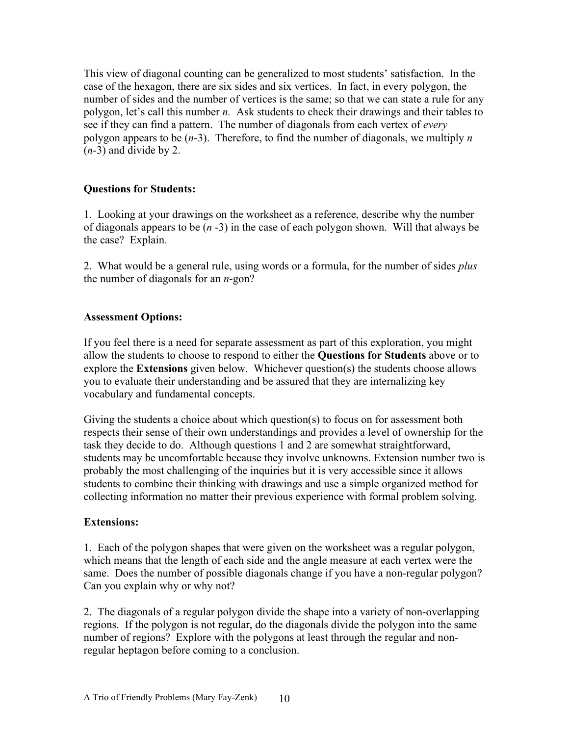This view of diagonal counting can be generalized to most students' satisfaction. In the case of the hexagon, there are six sides and six vertices. In fact, in every polygon, the number of sides and the number of vertices is the same; so that we can state a rule for any polygon, let's call this number *n.* Ask students to check their drawings and their tables to see if they can find a pattern. The number of diagonals from each vertex of *every* polygon appears to be (*n*-3). Therefore, to find the number of diagonals, we multiply *n*  (*n*-3) and divide by 2.

#### **Questions for Students:**

1. Looking at your drawings on the worksheet as a reference, describe why the number of diagonals appears to be (*n* -3) in the case of each polygon shown. Will that always be the case? Explain.

2. What would be a general rule, using words or a formula, for the number of sides *plus* the number of diagonals for an *n*-gon?

#### **Assessment Options:**

If you feel there is a need for separate assessment as part of this exploration, you might allow the students to choose to respond to either the **Questions for Students** above or to explore the **Extensions** given below. Whichever question(s) the students choose allows you to evaluate their understanding and be assured that they are internalizing key vocabulary and fundamental concepts.

Giving the students a choice about which question(s) to focus on for assessment both respects their sense of their own understandings and provides a level of ownership for the task they decide to do. Although questions 1 and 2 are somewhat straightforward, students may be uncomfortable because they involve unknowns. Extension number two is probably the most challenging of the inquiries but it is very accessible since it allows students to combine their thinking with drawings and use a simple organized method for collecting information no matter their previous experience with formal problem solving.

#### **Extensions:**

1. Each of the polygon shapes that were given on the worksheet was a regular polygon, which means that the length of each side and the angle measure at each vertex were the same. Does the number of possible diagonals change if you have a non-regular polygon? Can you explain why or why not?

2. The diagonals of a regular polygon divide the shape into a variety of non-overlapping regions. If the polygon is not regular, do the diagonals divide the polygon into the same number of regions? Explore with the polygons at least through the regular and nonregular heptagon before coming to a conclusion.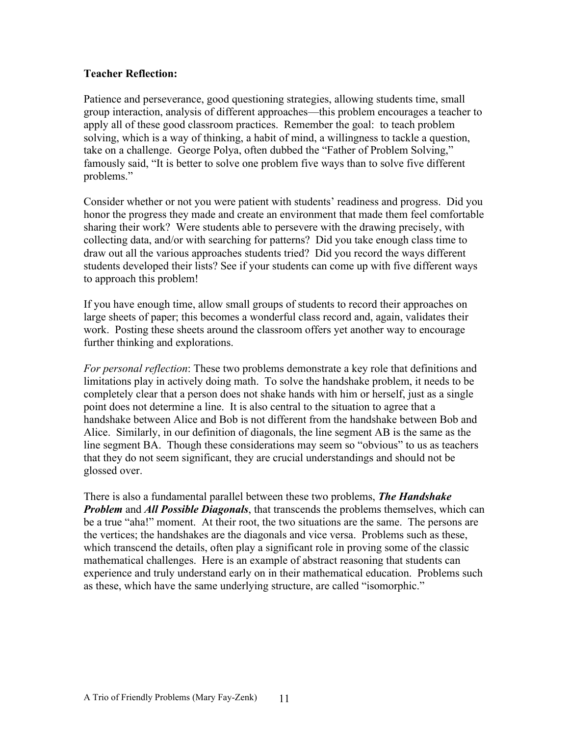#### **Teacher Reflection:**

Patience and perseverance, good questioning strategies, allowing students time, small group interaction, analysis of different approaches—this problem encourages a teacher to apply all of these good classroom practices. Remember the goal: to teach problem solving, which is a way of thinking, a habit of mind, a willingness to tackle a question, take on a challenge. George Polya, often dubbed the "Father of Problem Solving," famously said, "It is better to solve one problem five ways than to solve five different problems."

Consider whether or not you were patient with students' readiness and progress. Did you honor the progress they made and create an environment that made them feel comfortable sharing their work? Were students able to persevere with the drawing precisely, with collecting data, and/or with searching for patterns? Did you take enough class time to draw out all the various approaches students tried? Did you record the ways different students developed their lists? See if your students can come up with five different ways to approach this problem!

If you have enough time, allow small groups of students to record their approaches on large sheets of paper; this becomes a wonderful class record and, again, validates their work. Posting these sheets around the classroom offers yet another way to encourage further thinking and explorations.

*For personal reflection*: These two problems demonstrate a key role that definitions and limitations play in actively doing math. To solve the handshake problem, it needs to be completely clear that a person does not shake hands with him or herself, just as a single point does not determine a line. It is also central to the situation to agree that a handshake between Alice and Bob is not different from the handshake between Bob and Alice. Similarly, in our definition of diagonals, the line segment AB is the same as the line segment BA. Though these considerations may seem so "obvious" to us as teachers that they do not seem significant, they are crucial understandings and should not be glossed over.

There is also a fundamental parallel between these two problems, *The Handshake Problem* and *All Possible Diagonals*, that transcends the problems themselves, which can be a true "aha!" moment. At their root, the two situations are the same. The persons are the vertices; the handshakes are the diagonals and vice versa. Problems such as these, which transcend the details, often play a significant role in proving some of the classic mathematical challenges. Here is an example of abstract reasoning that students can experience and truly understand early on in their mathematical education. Problems such as these, which have the same underlying structure, are called "isomorphic."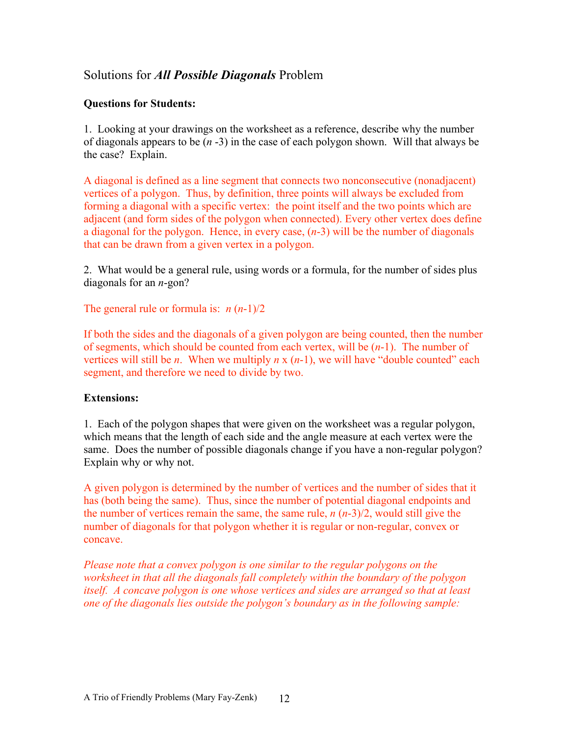#### Solutions for *All Possible Diagonals* Problem

#### **Questions for Students:**

1. Looking at your drawings on the worksheet as a reference, describe why the number of diagonals appears to be (*n* -3) in the case of each polygon shown. Will that always be the case? Explain.

A diagonal is defined as a line segment that connects two nonconsecutive (nonadjacent) vertices of a polygon. Thus, by definition, three points will always be excluded from forming a diagonal with a specific vertex: the point itself and the two points which are adjacent (and form sides of the polygon when connected). Every other vertex does define a diagonal for the polygon. Hence, in every case, (*n*-3) will be the number of diagonals that can be drawn from a given vertex in a polygon.

2. What would be a general rule, using words or a formula, for the number of sides plus diagonals for an *n*-gon?

The general rule or formula is: *n* (*n*-1)/2

If both the sides and the diagonals of a given polygon are being counted, then the number of segments, which should be counted from each vertex, will be (*n*-1). The number of vertices will still be *n*. When we multiply  $n \times (n-1)$ , we will have "double counted" each segment, and therefore we need to divide by two.

#### **Extensions:**

1. Each of the polygon shapes that were given on the worksheet was a regular polygon, which means that the length of each side and the angle measure at each vertex were the same. Does the number of possible diagonals change if you have a non-regular polygon? Explain why or why not.

A given polygon is determined by the number of vertices and the number of sides that it has (both being the same). Thus, since the number of potential diagonal endpoints and the number of vertices remain the same, the same rule, *n* (*n*-3)/2, would still give the number of diagonals for that polygon whether it is regular or non-regular, convex or concave.

*Please note that a convex polygon is one similar to the regular polygons on the worksheet in that all the diagonals fall completely within the boundary of the polygon itself. A concave polygon is one whose vertices and sides are arranged so that at least one of the diagonals lies outside the polygon's boundary as in the following sample:*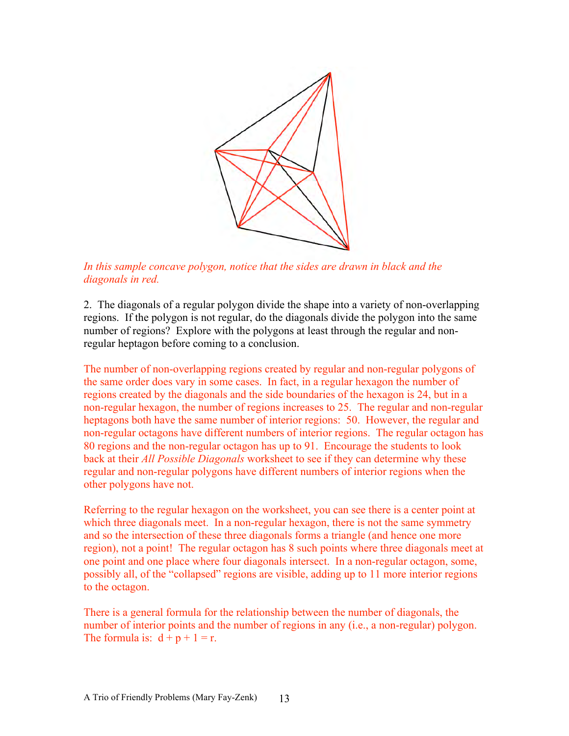

In this sample concave polygon, notice that the sides are drawn in black and the *diagonals in red.*

2. The diagonals of a regular polygon divide the shape into a variety of non-overlapping regions. If the polygon is not regular, do the diagonals divide the polygon into the same number of regions? Explore with the polygons at least through the regular and nonregular heptagon before coming to a conclusion.

The number of non-overlapping regions created by regular and non-regular polygons of the same order does vary in some cases. In fact, in a regular hexagon the number of regions created by the diagonals and the side boundaries of the hexagon is 24, but in a non-regular hexagon, the number of regions increases to 25. The regular and non-regular heptagons both have the same number of interior regions: 50. However, the regular and non-regular octagons have different numbers of interior regions. The regular octagon has 80 regions and the non-regular octagon has up to 91. Encourage the students to look back at their *All Possible Diagonals* worksheet to see if they can determine why these regular and non-regular polygons have different numbers of interior regions when the other polygons have not.

Referring to the regular hexagon on the worksheet, you can see there is a center point at which three diagonals meet. In a non-regular hexagon, there is not the same symmetry and so the intersection of these three diagonals forms a triangle (and hence one more region), not a point! The regular octagon has 8 such points where three diagonals meet at one point and one place where four diagonals intersect. In a non-regular octagon, some, possibly all, of the "collapsed" regions are visible, adding up to 11 more interior regions to the octagon.

There is a general formula for the relationship between the number of diagonals, the number of interior points and the number of regions in any (i.e., a non-regular) polygon. The formula is:  $d + p + 1 = r$ .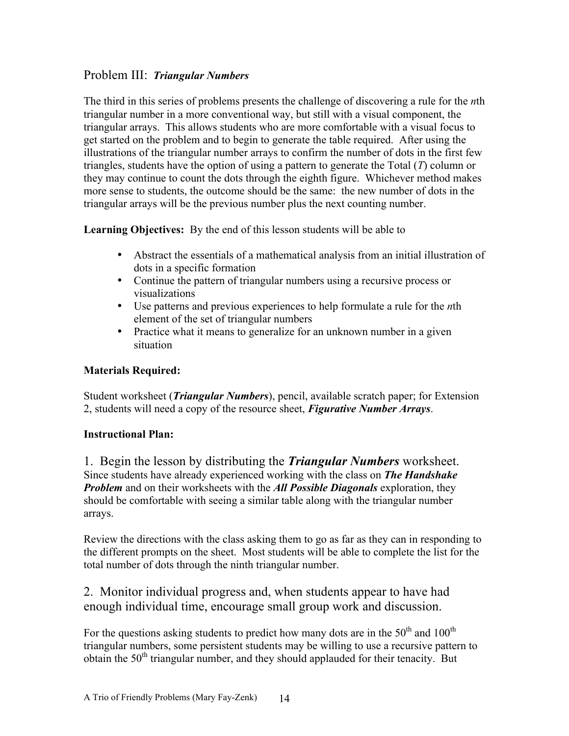#### Problem III: *Triangular Numbers*

The third in this series of problems presents the challenge of discovering a rule for the *n*th triangular number in a more conventional way, but still with a visual component, the triangular arrays. This allows students who are more comfortable with a visual focus to get started on the problem and to begin to generate the table required. After using the illustrations of the triangular number arrays to confirm the number of dots in the first few triangles, students have the option of using a pattern to generate the Total (*T*) column or they may continue to count the dots through the eighth figure. Whichever method makes more sense to students, the outcome should be the same: the new number of dots in the triangular arrays will be the previous number plus the next counting number.

**Learning Objectives:** By the end of this lesson students will be able to

- Abstract the essentials of a mathematical analysis from an initial illustration of dots in a specific formation
- Continue the pattern of triangular numbers using a recursive process or visualizations
- Use patterns and previous experiences to help formulate a rule for the *n*th element of the set of triangular numbers
- Practice what it means to generalize for an unknown number in a given situation

#### **Materials Required:**

Student worksheet (*Triangular Numbers*), pencil, available scratch paper; for Extension 2, students will need a copy of the resource sheet, *Figurative Number Arrays*.

#### **Instructional Plan:**

1. Begin the lesson by distributing the *Triangular Numbers* worksheet. Since students have already experienced working with the class on *The Handshake Problem* and on their worksheets with the *All Possible Diagonals* exploration, they should be comfortable with seeing a similar table along with the triangular number arrays.

Review the directions with the class asking them to go as far as they can in responding to the different prompts on the sheet. Most students will be able to complete the list for the total number of dots through the ninth triangular number.

2. Monitor individual progress and, when students appear to have had enough individual time, encourage small group work and discussion.

For the questions asking students to predict how many dots are in the  $50<sup>th</sup>$  and  $100<sup>th</sup>$ triangular numbers, some persistent students may be willing to use a recursive pattern to obtain the  $50<sup>th</sup>$  triangular number, and they should applauded for their tenacity. But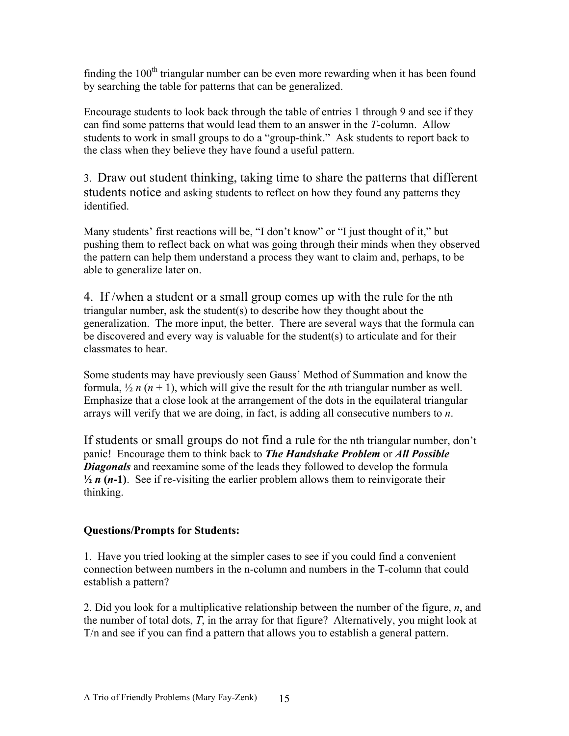finding the  $100<sup>th</sup>$  triangular number can be even more rewarding when it has been found by searching the table for patterns that can be generalized.

Encourage students to look back through the table of entries 1 through 9 and see if they can find some patterns that would lead them to an answer in the *T*-column. Allow students to work in small groups to do a "group-think." Ask students to report back to the class when they believe they have found a useful pattern.

3. Draw out student thinking, taking time to share the patterns that different students notice and asking students to reflect on how they found any patterns they identified.

Many students' first reactions will be, "I don't know" or "I just thought of it," but pushing them to reflect back on what was going through their minds when they observed the pattern can help them understand a process they want to claim and, perhaps, to be able to generalize later on.

4. If /when a student or a small group comes up with the rule for the nth triangular number, ask the student(s) to describe how they thought about the generalization. The more input, the better. There are several ways that the formula can be discovered and every way is valuable for the student(s) to articulate and for their classmates to hear.

Some students may have previously seen Gauss' Method of Summation and know the formula,  $\frac{1}{2}n(n+1)$ , which will give the result for the *n*th triangular number as well. Emphasize that a close look at the arrangement of the dots in the equilateral triangular arrays will verify that we are doing, in fact, is adding all consecutive numbers to *n*.

If students or small groups do not find a rule for the nth triangular number, don't panic! Encourage them to think back to *The Handshake Problem* or *All Possible Diagonals* and reexamine some of the leads they followed to develop the formula  $\frac{1}{2}$  **n** (n-1). See if re-visiting the earlier problem allows them to reinvigorate their thinking.

#### **Questions/Prompts for Students:**

1. Have you tried looking at the simpler cases to see if you could find a convenient connection between numbers in the n-column and numbers in the T-column that could establish a pattern?

2. Did you look for a multiplicative relationship between the number of the figure, *n*, and the number of total dots, *T*, in the array for that figure? Alternatively, you might look at T/n and see if you can find a pattern that allows you to establish a general pattern.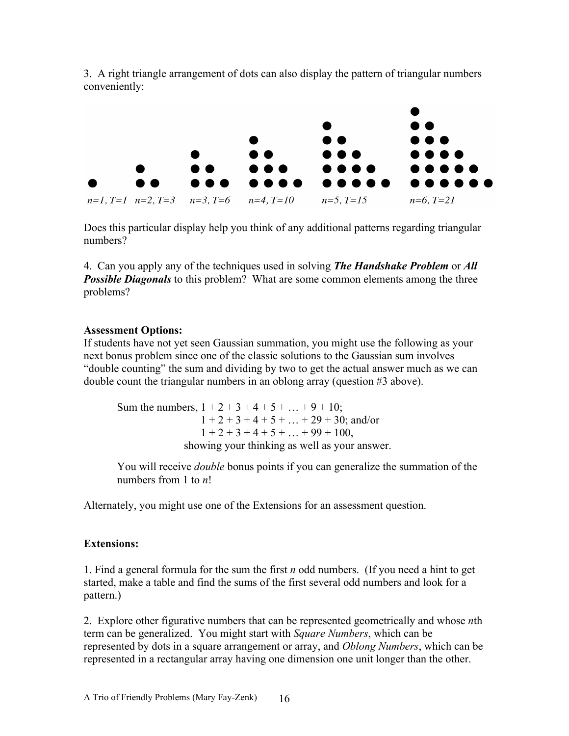

3. A right triangle arrangement of dots can also display the pattern of triangular numbers conveniently:

Does this particular display help you think of any additional patterns regarding triangular numbers?

4. Can you apply any of the techniques used in solving *The Handshake Problem* or *All*  **Possible Diagonals** to this problem? What are some common elements among the three problems?

#### **Assessment Options:**

If students have not yet seen Gaussian summation, you might use the following as your next bonus problem since one of the classic solutions to the Gaussian sum involves "double counting" the sum and dividing by two to get the actual answer much as we can double count the triangular numbers in an oblong array (question #3 above).

Sum the numbers,  $1 + 2 + 3 + 4 + 5 + ... + 9 + 10$ ;  $1 + 2 + 3 + 4 + 5 + \ldots + 29 + 30$ ; and/or  $1 + 2 + 3 + 4 + 5 + \ldots + 99 + 100$ , showing your thinking as well as your answer.

You will receive *double* bonus points if you can generalize the summation of the numbers from 1 to *n*!

Alternately, you might use one of the Extensions for an assessment question.

#### **Extensions:**

1. Find a general formula for the sum the first *n* odd numbers. (If you need a hint to get started, make a table and find the sums of the first several odd numbers and look for a pattern.)

2. Explore other figurative numbers that can be represented geometrically and whose *n*th term can be generalized. You might start with *Square Numbers*, which can be represented by dots in a square arrangement or array, and *Oblong Numbers*, which can be represented in a rectangular array having one dimension one unit longer than the other.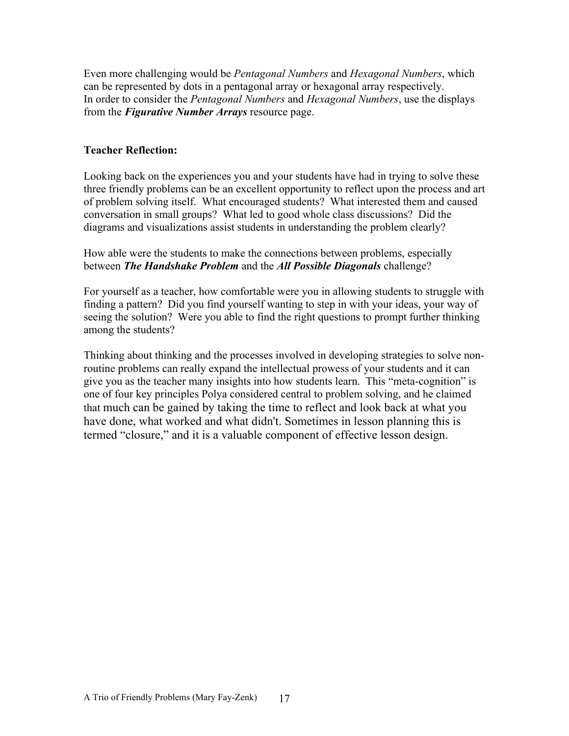Even more challenging would be *Pentagonal Numbers* and *Hexagonal Numbers*, which can be represented by dots in a pentagonal array or hexagonal array respectively. In order to consider the *Pentagonal Numbers* and *Hexagonal Numbers*, use the displays from the *Figurative Number Arrays* resource page.

#### **Teacher Reflection:**

Looking back on the experiences you and your students have had in trying to solve these three friendly problems can be an excellent opportunity to reflect upon the process and art of problem solving itself. What encouraged students? What interested them and caused conversation in small groups? What led to good whole class discussions? Did the diagrams and visualizations assist students in understanding the problem clearly?

How able were the students to make the connections between problems, especially between *The Handshake Problem* and the *All Possible Diagonals* challenge?

For yourself as a teacher, how comfortable were you in allowing students to struggle with finding a pattern? Did you find yourself wanting to step in with your ideas, your way of seeing the solution? Were you able to find the right questions to prompt further thinking among the students?

Thinking about thinking and the processes involved in developing strategies to solve nonroutine problems can really expand the intellectual prowess of your students and it can give you as the teacher many insights into how students learn. This "meta-cognition" is one of four key principles Polya considered central to problem solving, and he claimed that much can be gained by taking the time to reflect and look back at what you have done, what worked and what didn't. Sometimes in lesson planning this is termed "closure," and it is a valuable component of effective lesson design.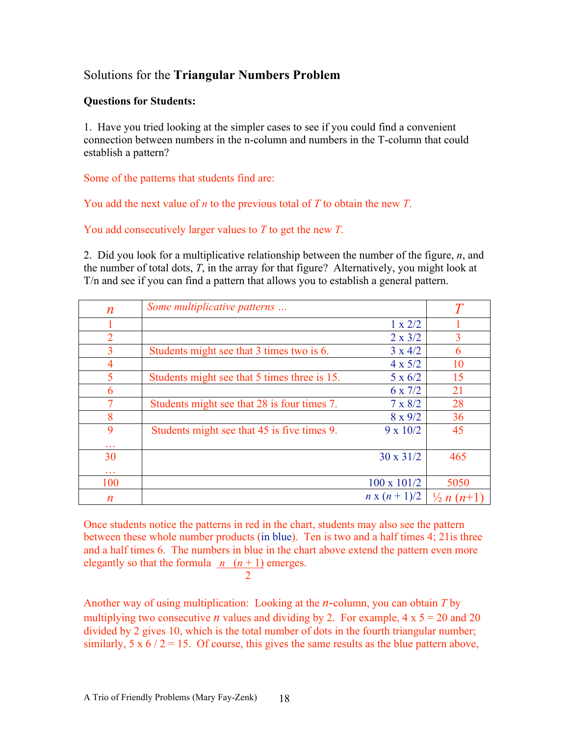#### Solutions for the **Triangular Numbers Problem**

#### **Questions for Students:**

1. Have you tried looking at the simpler cases to see if you could find a convenient connection between numbers in the n-column and numbers in the T-column that could establish a pattern?

Some of the patterns that students find are:

You add the next value of *n* to the previous total of *T* to obtain the new *T*.

You add consecutively larger values to *T* to get the new *T*.

2. Did you look for a multiplicative relationship between the number of the figure, *n*, and the number of total dots, *T*, in the array for that figure? Alternatively, you might look at T/n and see if you can find a pattern that allows you to establish a general pattern.

| $\boldsymbol{n}$ | Some multiplicative patterns                 |                    |                       |
|------------------|----------------------------------------------|--------------------|-----------------------|
|                  |                                              | $1 \times 2/2$     |                       |
| 2                |                                              | $2 \times 3/2$     | 3                     |
| 3                | Students might see that 3 times two is 6.    | $3 \times 4/2$     | 6                     |
| 4                |                                              | $4 \times 5/2$     | 10                    |
| 5                | Students might see that 5 times three is 15. | $5 \times 6/2$     | 15                    |
| 6                |                                              | $6 \times 7/2$     | 21                    |
|                  | Students might see that 28 is four times 7.  | $7 \times 8/2$     | 28                    |
| 8                |                                              | $8 \times 9/2$     | 36                    |
| 9                | Students might see that 45 is five times 9.  | $9 \times 10/2$    | 45                    |
| 30<br>.          |                                              | $30 \times 31/2$   | 465                   |
| 100              |                                              | $100 \times 101/2$ | 5050                  |
| n                |                                              | $n x (n + 1)/2$    | $\frac{1}{2} n (n+1)$ |

Once students notice the patterns in red in the chart, students may also see the pattern between these whole number products (in blue). Ten is two and a half times 4; 21is three and a half times 6. The numbers in blue in the chart above extend the pattern even more elegantly so that the formula  $n (n + 1)$  emerges.

 $\mathcal{L}$ 

Another way of using multiplication: Looking at the *n*-column, you can obtain *T* by multiplying two consecutive *n* values and dividing by 2. For example,  $4 \times 5 = 20$  and 20 divided by 2 gives 10, which is the total number of dots in the fourth triangular number; similarly,  $5 \times 6 / 2 = 15$ . Of course, this gives the same results as the blue pattern above,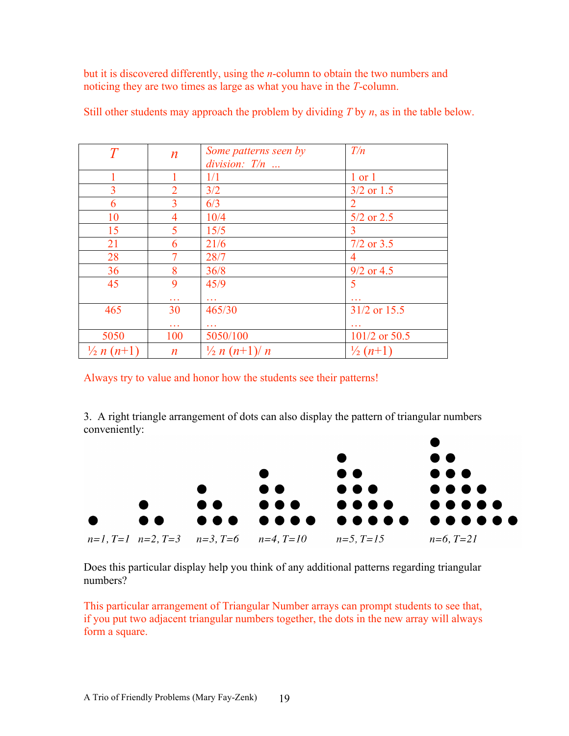but it is discovered differently, using the *n*-column to obtain the two numbers and noticing they are two times as large as what you have in the *T*-column.

| $\overline{T}$        | $\boldsymbol{n}$          | Some patterns seen by<br>division: $T/n$ | T/n                   |
|-----------------------|---------------------------|------------------------------------------|-----------------------|
|                       |                           | 1/1                                      | $1$ or $1$            |
| 3                     | $\overline{2}$            | 3/2                                      | $3/2$ or 1.5          |
| 6                     | 3                         | 6/3                                      | $\overline{2}$        |
| 10                    | 4                         | 10/4                                     | $5/2$ or $2.5$        |
| 15                    | 5                         | 15/5                                     | 3                     |
| 21                    | 6                         | 21/6                                     | $7/2$ or $3.5$        |
| 28                    |                           | 28/7                                     | 4                     |
| 36                    | 8                         | 36/8                                     | $9/2$ or 4.5          |
| 45                    | 9<br>$\sim$ $\sim$ $\sim$ | 45/9<br>$\sim$ $\sim$ $\sim$             | 5                     |
| 465                   | 30                        | 465/30                                   | 31/2 or 15.5          |
|                       | .                         |                                          |                       |
| 5050                  | 100                       | 5050/100                                 | 101/2 or 50.5         |
| $\frac{1}{2} n (n+1)$ | $\boldsymbol{n}$          | $\frac{1}{2} n (n+1)/n$                  | $\frac{1}{2}$ $(n+1)$ |

Still other students may approach the problem by dividing *T* by *n*, as in the table below.

Always try to value and honor how the students see their patterns!

3. A right triangle arrangement of dots can also display the pattern of triangular numbers conveniently:



Does this particular display help you think of any additional patterns regarding triangular numbers?

This particular arrangement of Triangular Number arrays can prompt students to see that, if you put two adjacent triangular numbers together, the dots in the new array will always form a square.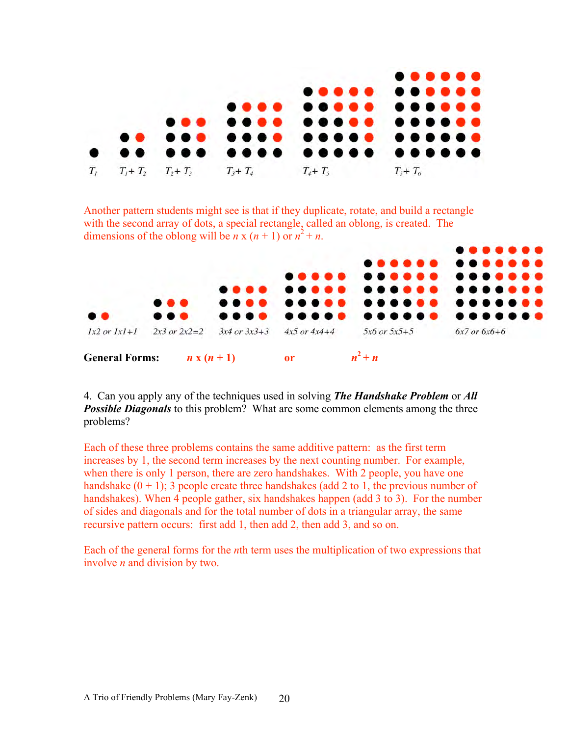

Another pattern students might see is that if they duplicate, rotate, and build a rectangle with the second array of dots, a special rectangle, called an oblong, is created. The dimensions of the oblong will be *n* x  $(n + 1)$  or  $n^2 + n$ .



4. Can you apply any of the techniques used in solving *The Handshake Problem* or *All*  **Possible Diagonals** to this problem? What are some common elements among the three problems?

Each of these three problems contains the same additive pattern: as the first term increases by 1, the second term increases by the next counting number. For example, when there is only 1 person, there are zero handshakes. With 2 people, you have one handshake  $(0 + 1)$ ; 3 people create three handshakes (add 2 to 1, the previous number of handshakes). When 4 people gather, six handshakes happen (add 3 to 3). For the number of sides and diagonals and for the total number of dots in a triangular array, the same recursive pattern occurs: first add 1, then add 2, then add 3, and so on.

Each of the general forms for the *n*th term uses the multiplication of two expressions that involve *n* and division by two.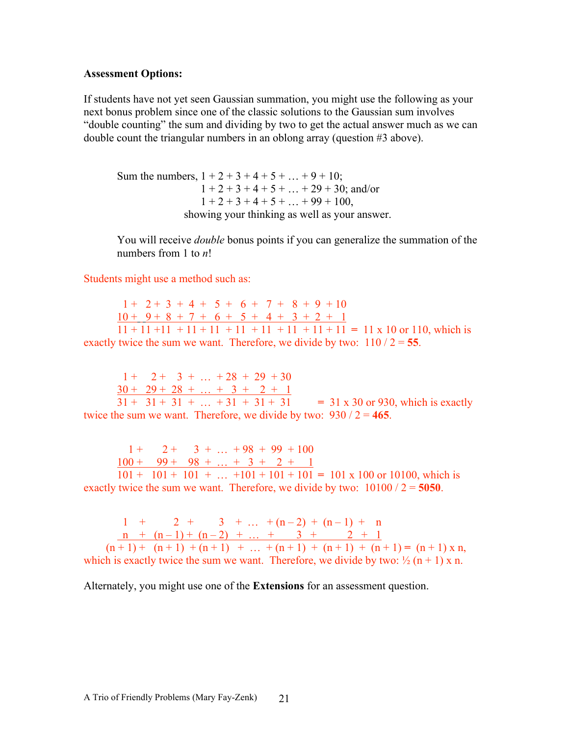#### **Assessment Options:**

If students have not yet seen Gaussian summation, you might use the following as your next bonus problem since one of the classic solutions to the Gaussian sum involves "double counting" the sum and dividing by two to get the actual answer much as we can double count the triangular numbers in an oblong array (question #3 above).

Sum the numbers,  $1 + 2 + 3 + 4 + 5 + ... + 9 + 10$ ;  $1 + 2 + 3 + 4 + 5 + \ldots + 29 + 30$ ; and/or  $1 + 2 + 3 + 4 + 5 + \ldots + 99 + 100$ , showing your thinking as well as your answer.

You will receive *double* bonus points if you can generalize the summation of the numbers from 1 to *n*!

Students might use a method such as:

 $1 + 2 + 3 + 4 + 5 + 6 + 7 + 8 + 9 + 10$  $10 + 9 + 8 + 7 + 6 + 5 + 4 + 3 + 2 + 1$  $\overline{11 + 11 + 11 + 11 + 11 + 11 + 11 + 11 + 11 + 11}$  = 11 x 10 or 110, which is exactly twice the sum we want. Therefore, we divide by two:  $110/2 = 55$ .

 $1 + 2 + 3 + ... + 28 + 29 + 30$  $30 + 29 + 28 + \ldots + 3 + 2 + 1$ 

 $31 + 31 + 31 + ... + 31 + 31 + 31 = 31 \times 30$  or 930, which is exactly twice the sum we want. Therefore, we divide by two:  $930 / 2 = 465$ .

 $1 + 2 + 3 + ... + 98 + 99 + 100$  $100 + 99 + 98 + ... + 3 + 2 + 1$ 

 $101 + 101 + 101 + ... + 101 + 101 + 101 = 101 \times 100$  or 10100, which is exactly twice the sum we want. Therefore, we divide by two:  $10100 / 2 = 5050$ .

 $1 + 2 + 3 + ... + (n-2) + (n-1) + n$  $n + (n-1) + (n-2) + ... + 3 + 2 + 1$  $(n+1) + (n+1) + (n+1) + \ldots + (n+1) + (n+1) + (n+1) = (n+1) \times n$ which is exactly twice the sum we want. Therefore, we divide by two:  $\frac{1}{2}$  (n + 1) x n.

Alternately, you might use one of the **Extensions** for an assessment question.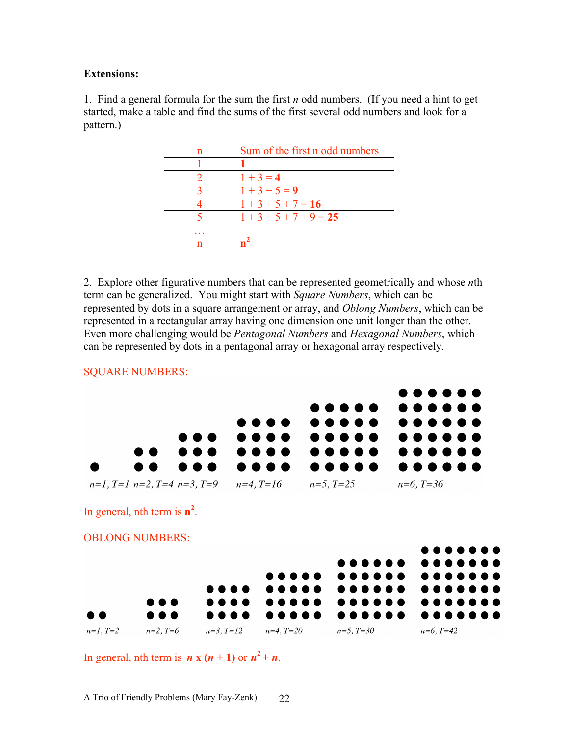#### **Extensions:**

1. Find a general formula for the sum the first *n* odd numbers. (If you need a hint to get started, make a table and find the sums of the first several odd numbers and look for a pattern.)

| n | Sum of the first n odd numbers |
|---|--------------------------------|
|   |                                |
|   | $1 + 3 = 4$                    |
|   | $1 + 3 + 5 = 9$                |
|   | $1+3+5+7=16$                   |
|   | $1+3+5+7+9=25$                 |
|   |                                |
|   |                                |

2. Explore other figurative numbers that can be represented geometrically and whose *n*th term can be generalized. You might start with *Square Numbers*, which can be represented by dots in a square arrangement or array, and *Oblong Numbers*, which can be represented in a rectangular array having one dimension one unit longer than the other. Even more challenging would be *Pentagonal Numbers* and *Hexagonal Numbers*, which can be represented by dots in a pentagonal array or hexagonal array respectively.



In general, nth term is  $n \times (n + 1)$  or  $n^2 + n$ .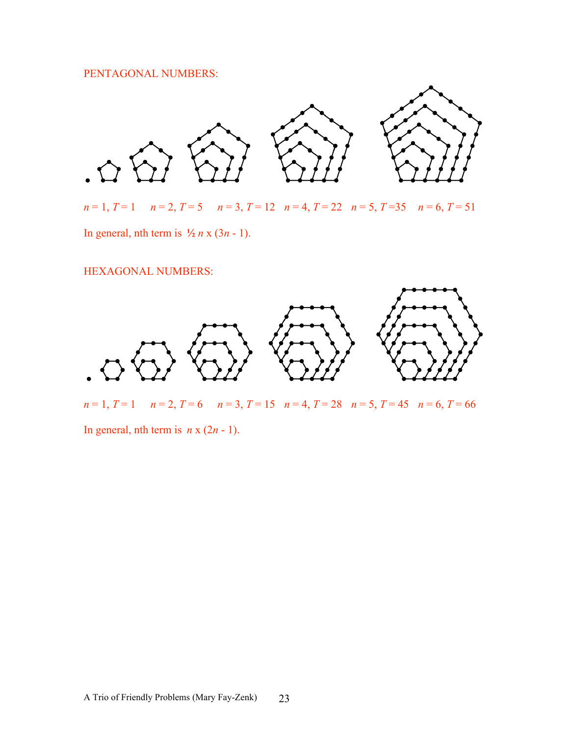#### PENTAGONAL NUMBERS:



*n* = 1, *T* = 1 *n* = 2, *T* = 5 *n* = 3, *T* = 12 *n* = 4, *T* = 22 *n* = 5, *T* =35 *n* = 6, *T* = 51 In general, nth term is  $\frac{1}{2}n \times (3n - 1)$ .

HEXAGONAL NUMBERS:



*n* = 1, *T* = 1 *n* = 2, *T* = 6 *n* = 3, *T* = 15 *n* = 4, *T* = 28 *n* = 5, *T* = 45 *n* = 6, *T* = 66

In general, nth term is  $n \times (2n - 1)$ .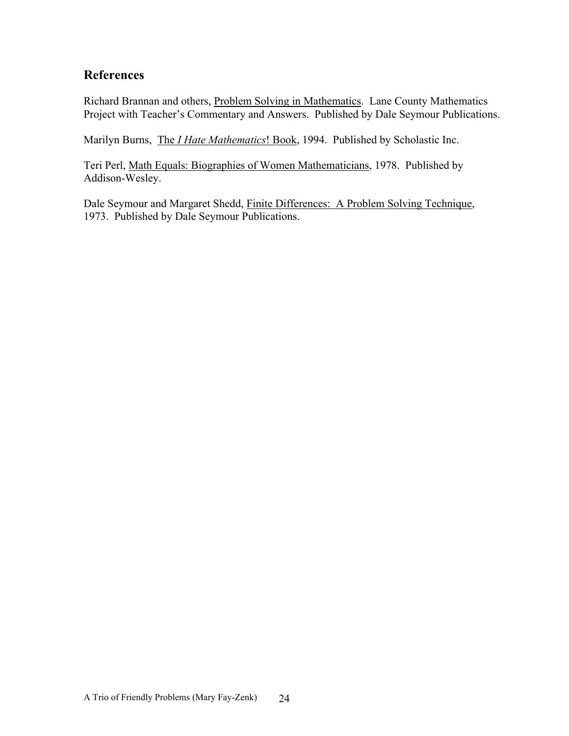#### **References**

Richard Brannan and others, Problem Solving in Mathematics. Lane County Mathematics Project with Teacher's Commentary and Answers. Published by Dale Seymour Publications.

Marilyn Burns, The *I Hate Mathematics*! Book, 1994. Published by Scholastic Inc.

Teri Perl, Math Equals: Biographies of Women Mathematicians, 1978. Published by Addison-Wesley.

Dale Seymour and Margaret Shedd, Finite Differences: A Problem Solving Technique, 1973. Published by Dale Seymour Publications.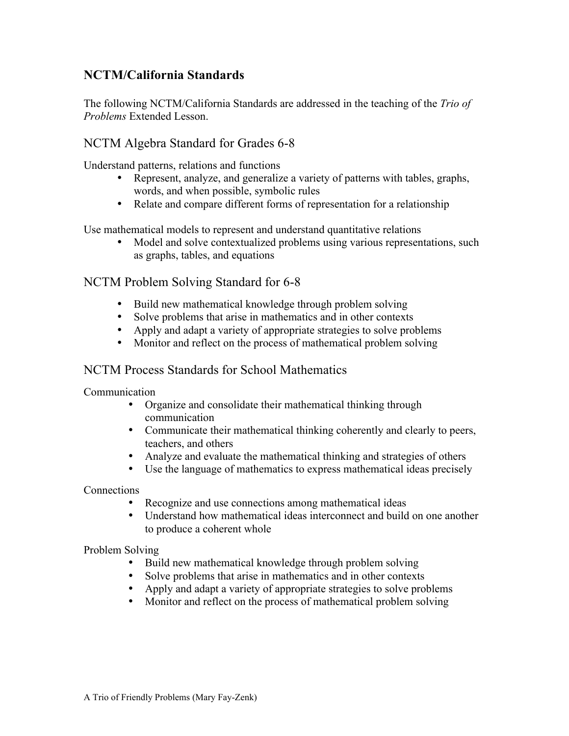#### **NCTM/California Standards**

The following NCTM/California Standards are addressed in the teaching of the *Trio of Problems* Extended Lesson.

#### NCTM Algebra Standard for Grades 6-8

Understand patterns, relations and functions

- Represent, analyze, and generalize a variety of patterns with tables, graphs, words, and when possible, symbolic rules
- Relate and compare different forms of representation for a relationship

Use mathematical models to represent and understand quantitative relations

• Model and solve contextualized problems using various representations, such as graphs, tables, and equations

#### NCTM Problem Solving Standard for 6-8

- Build new mathematical knowledge through problem solving
- Solve problems that arise in mathematics and in other contexts
- Apply and adapt a variety of appropriate strategies to solve problems
- Monitor and reflect on the process of mathematical problem solving

#### NCTM Process Standards for School Mathematics

Communication

- Organize and consolidate their mathematical thinking through communication
- Communicate their mathematical thinking coherently and clearly to peers, teachers, and others
- Analyze and evaluate the mathematical thinking and strategies of others
- Use the language of mathematics to express mathematical ideas precisely

Connections

- Recognize and use connections among mathematical ideas
- Understand how mathematical ideas interconnect and build on one another to produce a coherent whole

Problem Solving

- Build new mathematical knowledge through problem solving
- Solve problems that arise in mathematics and in other contexts
- Apply and adapt a variety of appropriate strategies to solve problems
- Monitor and reflect on the process of mathematical problem solving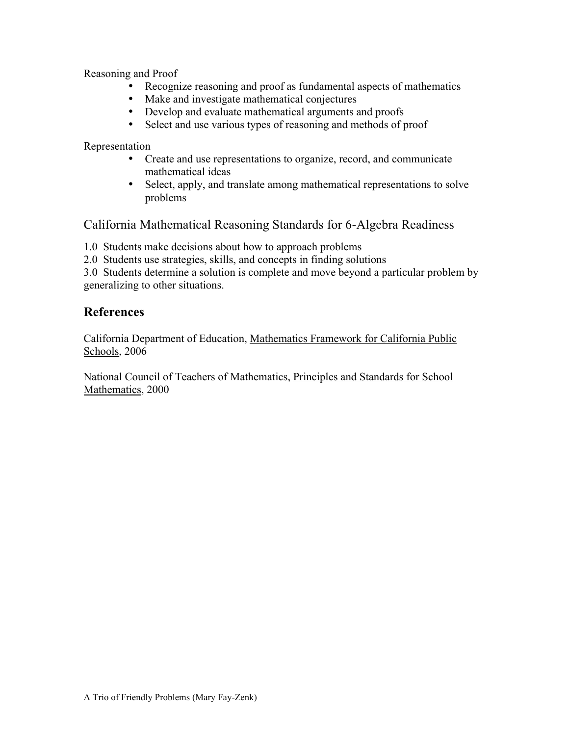Reasoning and Proof

- Recognize reasoning and proof as fundamental aspects of mathematics
- Make and investigate mathematical conjectures
- Develop and evaluate mathematical arguments and proofs
- Select and use various types of reasoning and methods of proof

Representation

- Create and use representations to organize, record, and communicate mathematical ideas
- Select, apply, and translate among mathematical representations to solve problems

California Mathematical Reasoning Standards for 6-Algebra Readiness

1.0 Students make decisions about how to approach problems

2.0 Students use strategies, skills, and concepts in finding solutions

3.0 Students determine a solution is complete and move beyond a particular problem by generalizing to other situations.

#### **References**

California Department of Education, Mathematics Framework for California Public Schools, 2006

National Council of Teachers of Mathematics, Principles and Standards for School Mathematics, 2000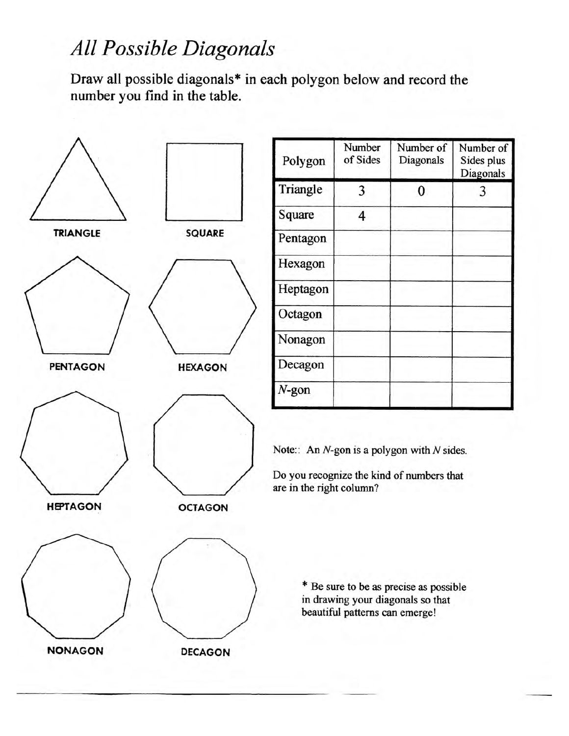### All Possible Diagonals

Draw all possible diagonals\* in each polygon below and record the number you find in the table.



| Polygon  | Number<br>of Sides | Number of<br>Diagonals | Number of<br>Sides plus<br>Diagonals |
|----------|--------------------|------------------------|--------------------------------------|
| Triangle | 3                  | 0                      | 3                                    |
| Square   | 4                  |                        |                                      |
| Pentagon |                    |                        |                                      |
| Hexagon  |                    |                        |                                      |
| Heptagon |                    |                        |                                      |
| Octagon  |                    |                        |                                      |
| Nonagon  |                    |                        |                                      |
| Decagon  |                    |                        |                                      |
| $N$ -gon |                    |                        |                                      |

Note:: An  $N$ -gon is a polygon with  $N$  sides.

Do you recognize the kind of numbers that are in the right column?

> \* Be sure to be as precise as possible in drawing your diagonals so that beautiful patterns can emerge!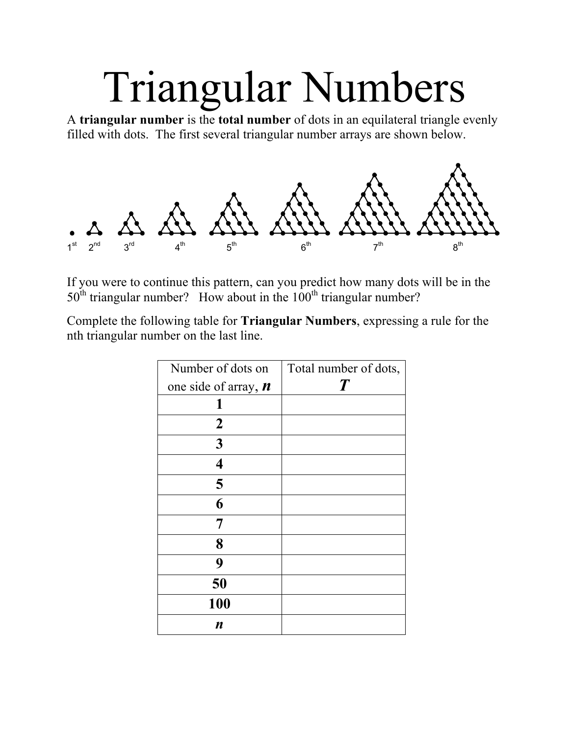# Triangular Numbers

A **triangular number** is the **total number** of dots in an equilateral triangle evenly filled with dots. The first several triangular number arrays are shown below.



If you were to continue this pattern, can you predict how many dots will be in the  $50<sup>th</sup>$  triangular number? How about in the  $100<sup>th</sup>$  triangular number?

Complete the following table for **Triangular Numbers**, expressing a rule for the nth triangular number on the last line.

| Number of dots on                   | Total number of dots, |
|-------------------------------------|-----------------------|
| one side of array, $\boldsymbol{n}$ | $\boldsymbol{T}$      |
| 1                                   |                       |
| $\boldsymbol{2}$                    |                       |
| 3                                   |                       |
| $\overline{\mathbf{4}}$             |                       |
| 5                                   |                       |
| 6                                   |                       |
| 7                                   |                       |
| 8                                   |                       |
| 9                                   |                       |
| 50                                  |                       |
| 100                                 |                       |
| n                                   |                       |